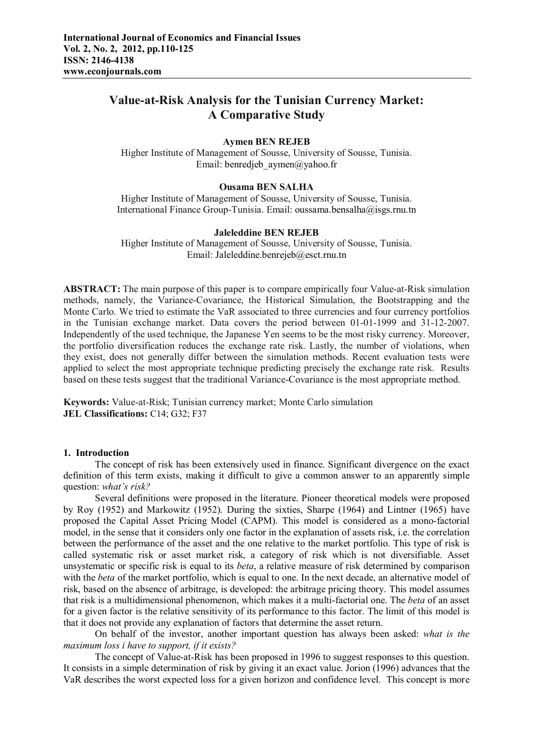# **Value-at-Risk Analysis for the Tunisian Currency Market: A Comparative Study**

### **Aymen BEN REJEB**

Higher Institute of Management of Sousse, University of Sousse, Tunisia. Email: benredjeb aymen@yahoo.fr

#### **Ousama BEN SALHA**

Higher Institute of Management of Sousse, University of Sousse, Tunisia. International Finance Group-Tunisia. Email: oussama.bensalha@isgs.rnu.tn

# **Jaleleddine BEN REJEB**

Higher Institute of Management of Sousse, University of Sousse, Tunisia. Email: Jaleleddine.benrejeb@esct.rnu.tn

**ABSTRACT:** The main purpose of this paper is to compare empirically four Value-at-Risk simulation methods, namely, the Variance-Covariance, the Historical Simulation, the Bootstrapping and the Monte Carlo. We tried to estimate the VaR associated to three currencies and four currency portfolios in the Tunisian exchange market. Data covers the period between 01-01-1999 and 31-12-2007. Independently of the used technique, the Japanese Yen seems to be the most risky currency. Moreover, the portfolio diversification reduces the exchange rate risk. Lastly, the number of violations, when they exist, does not generally differ between the simulation methods. Recent evaluation tests were applied to select the most appropriate technique predicting precisely the exchange rate risk. Results based on these tests suggest that the traditional Variance-Covariance is the most appropriate method.

**Keywords:** Value-at-Risk; Tunisian currency market; Monte Carlo simulation **JEL Classifications:** C14; G32; F37

#### **1. Introduction**

The concept of risk has been extensively used in finance. Significant divergence on the exact definition of this term exists, making it difficult to give a common answer to an apparently simple question: *what's risk?*

Several definitions were proposed in the literature. Pioneer theoretical models were proposed by Roy (1952) and Markowitz (1952). During the sixties, Sharpe (1964) and Lintner (1965) have proposed the Capital Asset Pricing Model (CAPM). This model is considered as a mono-factorial model, in the sense that it considers only one factor in the explanation of assets risk, i.e. the correlation between the performance of the asset and the one relative to the market portfolio. This type of risk is called systematic risk or asset market risk, a category of risk which is not diversifiable. Asset unsystematic or specific risk is equal to its *beta*, a relative measure of risk determined by comparison with the *beta* of the market portfolio, which is equal to one. In the next decade, an alternative model of risk, based on the absence of arbitrage, is developed: the arbitrage pricing theory. This model assumes that risk is a multidimensional phenomenon, which makes it a multi-factorial one. The *beta* of an asset for a given factor is the relative sensitivity of its performance to this factor. The limit of this model is that it does not provide any explanation of factors that determine the asset return.

On behalf of the investor, another important question has always been asked: *what is the maximum loss i have to support, if it exists?*

The concept of Value-at-Risk has been proposed in 1996 to suggest responses to this question. It consists in a simple determination of risk by giving it an exact value. Jorion (1996) advances that the VaR describes the worst expected loss for a given horizon and confidence level. This concept is more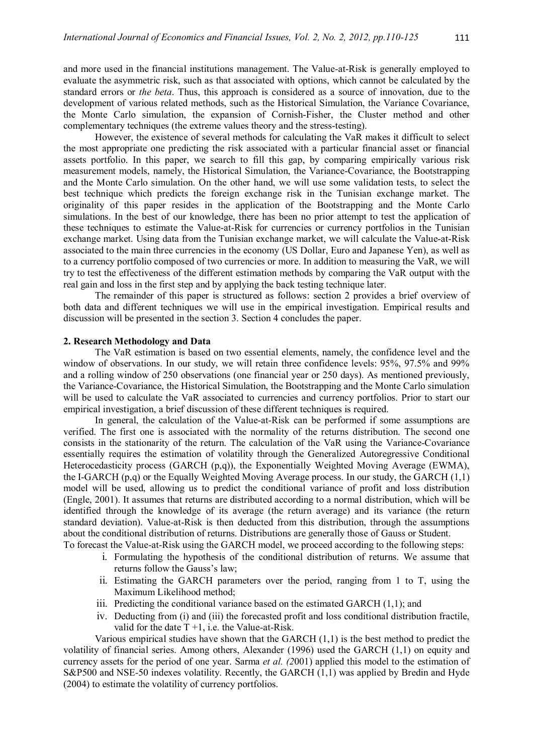and more used in the financial institutions management. The Value-at-Risk is generally employed to evaluate the asymmetric risk, such as that associated with options, which cannot be calculated by the standard errors or *the beta*. Thus, this approach is considered as a source of innovation, due to the development of various related methods, such as the Historical Simulation, the Variance Covariance, the Monte Carlo simulation, the expansion of Cornish-Fisher, the Cluster method and other complementary techniques (the extreme values theory and the stress-testing).

However, the existence of several methods for calculating the VaR makes it difficult to select the most appropriate one predicting the risk associated with a particular financial asset or financial assets portfolio. In this paper, we search to fill this gap, by comparing empirically various risk measurement models, namely, the Historical Simulation, the Variance-Covariance, the Bootstrapping and the Monte Carlo simulation. On the other hand, we will use some validation tests, to select the best technique which predicts the foreign exchange risk in the Tunisian exchange market. The originality of this paper resides in the application of the Bootstrapping and the Monte Carlo simulations. In the best of our knowledge, there has been no prior attempt to test the application of these techniques to estimate the Value-at-Risk for currencies or currency portfolios in the Tunisian exchange market. Using data from the Tunisian exchange market, we will calculate the Value-at-Risk associated to the main three currencies in the economy (US Dollar, Euro and Japanese Yen), as well as to a currency portfolio composed of two currencies or more. In addition to measuring the VaR, we will try to test the effectiveness of the different estimation methods by comparing the VaR output with the real gain and loss in the first step and by applying the back testing technique later.

The remainder of this paper is structured as follows: section 2 provides a brief overview of both data and different techniques we will use in the empirical investigation. Empirical results and discussion will be presented in the section 3. Section 4 concludes the paper.

#### **2. Research Methodology and Data**

The VaR estimation is based on two essential elements, namely, the confidence level and the window of observations. In our study, we will retain three confidence levels: 95%, 97.5% and 99% and a rolling window of 250 observations (one financial year or 250 days). As mentioned previously, the Variance-Covariance, the Historical Simulation, the Bootstrapping and the Monte Carlo simulation will be used to calculate the VaR associated to currencies and currency portfolios. Prior to start our empirical investigation, a brief discussion of these different techniques is required.

In general, the calculation of the Value-at-Risk can be performed if some assumptions are verified. The first one is associated with the normality of the returns distribution. The second one consists in the stationarity of the return. The calculation of the VaR using the Variance-Covariance essentially requires the estimation of volatility through the Generalized Autoregressive Conditional Heterocedasticity process (GARCH (p,q)), the Exponentially Weighted Moving Average (EWMA), the I-GARCH (p,q) or the Equally Weighted Moving Average process. In our study, the GARCH (1,1) model will be used, allowing us to predict the conditional variance of profit and loss distribution (Engle, 2001). It assumes that returns are distributed according to a normal distribution, which will be identified through the knowledge of its average (the return average) and its variance (the return standard deviation). Value-at-Risk is then deducted from this distribution, through the assumptions about the conditional distribution of returns. Distributions are generally those of Gauss or Student. To forecast the Value-at-Risk using the GARCH model, we proceed according to the following steps:

- i. Formulating the hypothesis of the conditional distribution of returns. We assume that returns follow the Gauss's law;
- ii. Estimating the GARCH parameters over the period, ranging from 1 to T, using the Maximum Likelihood method;
- iii. Predicting the conditional variance based on the estimated GARCH (1,1); and
- iv. Deducting from (i) and (iii) the forecasted profit and loss conditional distribution fractile, valid for the date  $T + 1$ , i.e. the Value-at-Risk.

Various empirical studies have shown that the GARCH (1,1) is the best method to predict the volatility of financial series. Among others, Alexander (1996) used the GARCH (1,1) on equity and currency assets for the period of one year. Sarma *et al. (2*001) applied this model to the estimation of S&P500 and NSE-50 indexes volatility. Recently, the GARCH (1,1) was applied by Bredin and Hyde (2004) to estimate the volatility of currency portfolios.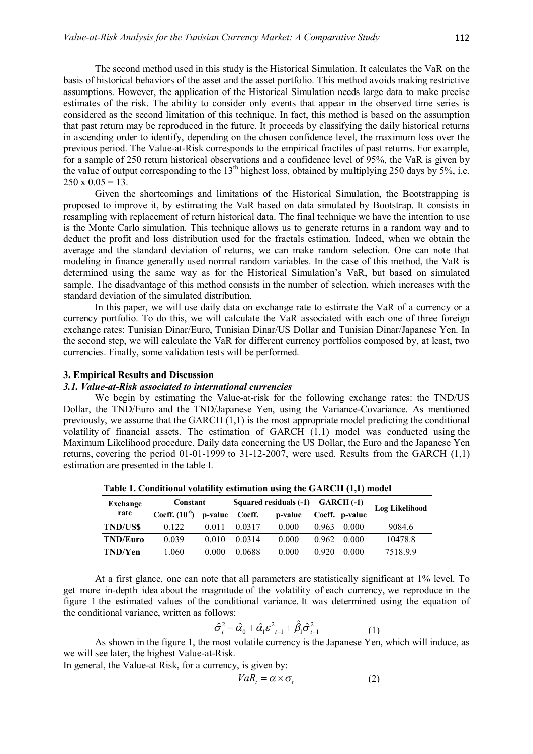The second method used in this study is the Historical Simulation. It calculates the VaR on the basis of historical behaviors of the asset and the asset portfolio. This method avoids making restrictive assumptions. However, the application of the Historical Simulation needs large data to make precise estimates of the risk. The ability to consider only events that appear in the observed time series is considered as the second limitation of this technique. In fact, this method is based on the assumption that past return may be reproduced in the future. It proceeds by classifying the daily historical returns in ascending order to identify, depending on the chosen confidence level, the maximum loss over the previous period. The Value-at-Risk corresponds to the empirical fractiles of past returns. For example, for a sample of 250 return historical observations and a confidence level of 95%, the VaR is given by the value of output corresponding to the 13<sup>th</sup> highest loss, obtained by multiplying 250 days by 5%, i.e.  $250 \times 0.05 = 13$ .

Given the shortcomings and limitations of the Historical Simulation, the Bootstrapping is proposed to improve it, by estimating the VaR based on data simulated by Bootstrap. It consists in resampling with replacement of return historical data. The final technique we have the intention to use is the Monte Carlo simulation. This technique allows us to generate returns in a random way and to deduct the profit and loss distribution used for the fractals estimation. Indeed, when we obtain the average and the standard deviation of returns, we can make random selection. One can note that modeling in finance generally used normal random variables. In the case of this method, the VaR is determined using the same way as for the Historical Simulation's VaR, but based on simulated sample. The disadvantage of this method consists in the number of selection, which increases with the standard deviation of the simulated distribution.

In this paper, we will use daily data on exchange rate to estimate the VaR of a currency or a currency portfolio. To do this, we will calculate the VaR associated with each one of three foreign exchange rates: Tunisian Dinar/Euro, Tunisian Dinar/US Dollar and Tunisian Dinar/Japanese Yen. In the second step, we will calculate the VaR for different currency portfolios composed by, at least, two currencies. Finally, some validation tests will be performed.

#### **3. Empirical Results and Discussion**

# *3.1. Value-at-Risk associated to international currencies*

We begin by estimating the Value-at-risk for the following exchange rates: the TND/US Dollar, the TND/Euro and the TND/Japanese Yen, using the Variance-Covariance. As mentioned previously, we assume that the GARCH  $(1,1)$  is the most appropriate model predicting the conditional volatility of financial assets. The estimation of GARCH (1,1) model was conducted using the Maximum Likelihood procedure. Daily data concerning the US Dollar, the Euro and the Japanese Yen returns, covering the period 01-01-1999 to 31-12-2007, were used. Results from the GARCH (1,1) estimation are presented in the table I.

| Exchange        | Constant           |         | Squared residuals $(-1)$ GARCH $(-1)$ Log Likelihood |         |       |                |         |  |
|-----------------|--------------------|---------|------------------------------------------------------|---------|-------|----------------|---------|--|
| rate            | Coeff. $(10^{-6})$ | p-value | Coeff.                                               | p-value |       | Coeff. p-value |         |  |
| <b>TND/USS</b>  | 0.122              | 0.011   | 0.0317                                               | 0.000   | 0.963 | 0.000          | 9084.6  |  |
| <b>TND/Euro</b> | 0.039              | 0.010   | 0.0314                                               | 0.000   | 0.962 | 0.000          | 10478.8 |  |
| <b>TND/Yen</b>  | 1.060              | 0.000   | 0.0688                                               | 0.000   | 0.920 | 0.000          | 751899  |  |

**Table 1. Conditional volatility estimation using the GARCH (1,1) model**

At a first glance, one can note that all parameters are statistically significant at 1% level. To get more in-depth idea about the magnitude of the volatility of each currency, we reproduce in the figure 1 the estimated values of the conditional variance. It was determined using the equation of the conditional variance, written as follows:

$$
\hat{\sigma}_t^2 = \hat{\alpha}_0 + \hat{\alpha}_1 \hat{\epsilon}_{t-1}^2 + \hat{\beta}_1 \hat{\sigma}_{t-1}^2
$$
 (1)

As shown in the figure 1, the most volatile currency is the Japanese Yen, which will induce, as we will see later, the highest Value-at-Risk.

In general, the Value-at Risk, for a currency, is given by:

$$
VaR_t = \alpha \times \sigma_t \tag{2}
$$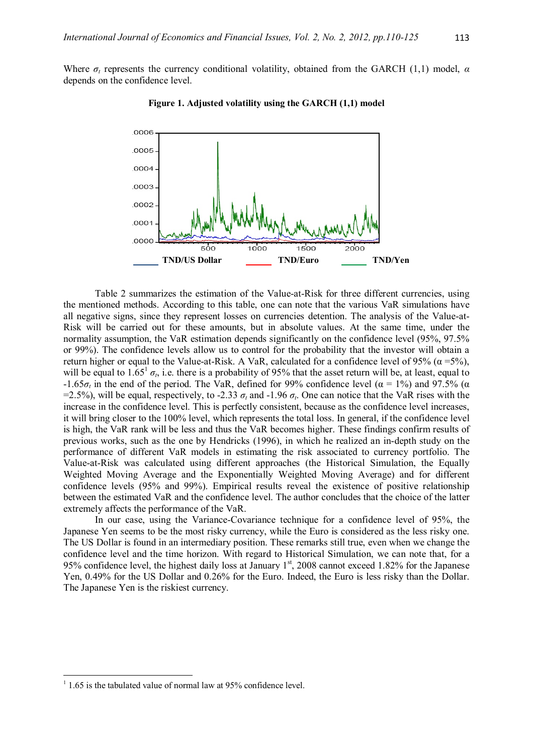Where  $\sigma_t$  represents the currency conditional volatility, obtained from the GARCH (1,1) model,  $\alpha$ depends on the confidence level.



**Figure 1. Adjusted volatility using the GARCH (1,1) model**

Table 2 summarizes the estimation of the Value-at-Risk for three different currencies, using the mentioned methods. According to this table, one can note that the various VaR simulations have all negative signs, since they represent losses on currencies detention. The analysis of the Value-at-Risk will be carried out for these amounts, but in absolute values. At the same time, under the normality assumption, the VaR estimation depends significantly on the confidence level (95%, 97.5% or 99%). The confidence levels allow us to control for the probability that the investor will obtain a return higher or equal to the Value-at-Risk. A VaR, calculated for a confidence level of 95% ( $\alpha$  =5%), will be equal to  $1.65<sup>1</sup> \sigma_t$ , i.e. there is a probability of 95% that the asset return will be, at least, equal to  $-1.65\sigma_t$  in the end of the period. The VaR, defined for 99% confidence level ( $\alpha = 1\%$ ) and 97.5% ( $\alpha$  $=$  2.5%), will be equal, respectively, to -2.33  $\sigma_t$  and -1.96  $\sigma_t$ . One can notice that the VaR rises with the increase in the confidence level. This is perfectly consistent, because as the confidence level increases, it will bring closer to the 100% level, which represents the total loss. In general, if the confidence level is high, the VaR rank will be less and thus the VaR becomes higher. These findings confirm results of previous works, such as the one by Hendricks (1996), in which he realized an in-depth study on the performance of different VaR models in estimating the risk associated to currency portfolio. The Value-at-Risk was calculated using different approaches (the Historical Simulation, the Equally Weighted Moving Average and the Exponentially Weighted Moving Average) and for different confidence levels (95% and 99%). Empirical results reveal the existence of positive relationship between the estimated VaR and the confidence level. The author concludes that the choice of the latter extremely affects the performance of the VaR.

In our case, using the Variance-Covariance technique for a confidence level of 95%, the Japanese Yen seems to be the most risky currency, while the Euro is considered as the less risky one. The US Dollar is found in an intermediary position. These remarks still true, even when we change the confidence level and the time horizon. With regard to Historical Simulation, we can note that, for a 95% confidence level, the highest daily loss at January  $1<sup>st</sup>$ , 2008 cannot exceed 1.82% for the Japanese Yen, 0.49% for the US Dollar and 0.26% for the Euro. Indeed, the Euro is less risky than the Dollar. The Japanese Yen is the riskiest currency.

1

 $11.65$  is the tabulated value of normal law at 95% confidence level.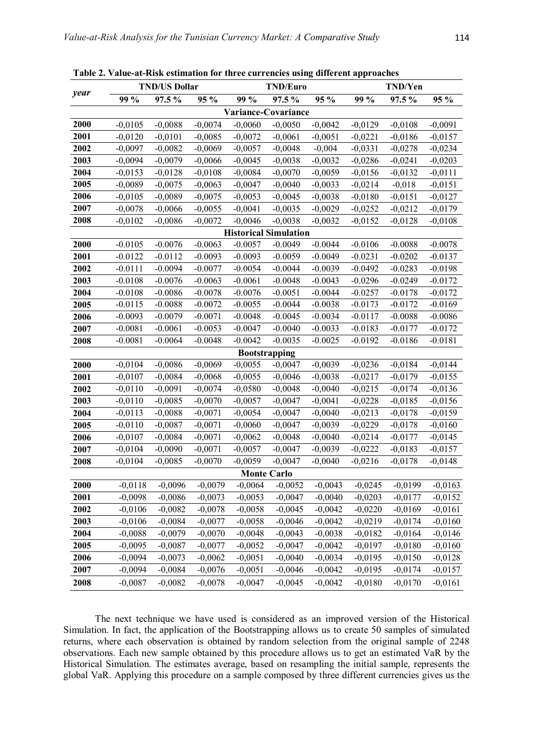|      | <b>TND/US Dollar</b> |           |           | <b>TND/Euro</b>              |           |           | TND/Yen   |           |           |
|------|----------------------|-----------|-----------|------------------------------|-----------|-----------|-----------|-----------|-----------|
| year | 99 %                 | 97.5%     | 95 %      | 99 %                         | 97.5%     | 95 %      | 99 %      | 97.5%     | 95 %      |
|      |                      |           |           | Variance-Covariance          |           |           |           |           |           |
| 2000 | $-0,0105$            | $-0,0088$ | $-0,0074$ | $-0,0060$                    | $-0,0050$ | $-0,0042$ | $-0,0129$ | $-0,0108$ | $-0,0091$ |
| 2001 | $-0,0120$            | $-0,0101$ | $-0,0085$ | $-0,0072$                    | $-0,0061$ | $-0,0051$ | $-0,0221$ | $-0,0186$ | $-0,0157$ |
| 2002 | $-0,0097$            | $-0,0082$ | $-0,0069$ | $-0,0057$                    | $-0,0048$ | $-0,004$  | $-0,0331$ | $-0,0278$ | $-0,0234$ |
| 2003 | $-0,0094$            | $-0,0079$ | $-0,0066$ | $-0,0045$                    | $-0,0038$ | $-0,0032$ | $-0,0286$ | $-0,0241$ | $-0,0203$ |
| 2004 | $-0,0153$            | $-0,0128$ | $-0,0108$ | $-0,0084$                    | $-0,0070$ | $-0,0059$ | $-0,0156$ | $-0,0132$ | $-0,0111$ |
| 2005 | $-0,0089$            | $-0,0075$ | $-0,0063$ | $-0,0047$                    | $-0,0040$ | $-0,0033$ | $-0,0214$ | $-0,018$  | $-0,0151$ |
| 2006 | $-0,0105$            | $-0,0089$ | $-0,0075$ | $-0,0053$                    | $-0,0045$ | $-0,0038$ | $-0,0180$ | $-0,0151$ | $-0,0127$ |
| 2007 | $-0,0078$            | $-0,0066$ | $-0,0055$ | $-0,0041$                    | $-0,0035$ | $-0,0029$ | $-0,0252$ | $-0,0212$ | $-0,0179$ |
| 2008 | $-0,0102$            | $-0,0086$ | $-0,0072$ | $-0,0046$                    | $-0,0038$ | $-0,0032$ | $-0,0152$ | $-0,0128$ | $-0,0108$ |
|      |                      |           |           | <b>Historical Simulation</b> |           |           |           |           |           |
| 2000 | $-0.0105$            | $-0.0076$ | $-0.0063$ | $-0.0057$                    | $-0.0049$ | $-0.0044$ | $-0.0106$ | $-0.0088$ | $-0.0078$ |
| 2001 | $-0.0122$            | $-0.0112$ | $-0.0093$ | $-0.0093$                    | $-0.0059$ | $-0.0049$ | $-0.0231$ | $-0.0202$ | $-0.0137$ |
| 2002 | $-0.0111$            | $-0.0094$ | $-0.0077$ | $-0.0054$                    | $-0.0044$ | $-0.0039$ | $-0.0492$ | $-0.0283$ | $-0.0198$ |
| 2003 | $-0.0108$            | $-0.0076$ | $-0.0063$ | $-0.0061$                    | $-0.0048$ | $-0.0043$ | $-0.0296$ | $-0.0249$ | $-0.0172$ |
| 2004 | $-0.0108$            | $-0.0086$ | $-0.0078$ | $-0.0076$                    | $-0.0051$ | $-0.0044$ | $-0.0257$ | $-0.0178$ | $-0.0172$ |
| 2005 | $-0.0115$            | $-0.0088$ | $-0.0072$ | $-0.0055$                    | $-0.0044$ | $-0.0038$ | $-0.0173$ | $-0.0172$ | $-0.0169$ |
| 2006 | $-0.0093$            | $-0.0079$ | $-0.0071$ | $-0.0048$                    | $-0.0045$ | $-0.0034$ | $-0.0117$ | $-0.0088$ | $-0.0086$ |
| 2007 | $-0.0081$            | $-0.0061$ | $-0.0053$ | $-0.0047$                    | $-0.0040$ | $-0.0033$ | $-0.0183$ | $-0.0177$ | $-0.0172$ |
| 2008 | $-0.0081$            | $-0.0064$ | $-0.0048$ | $-0.0042$                    | $-0.0035$ | $-0.0025$ | $-0.0192$ | $-0.0186$ | $-0.0181$ |
|      |                      |           |           | <b>Bootstrapping</b>         |           |           |           |           |           |
| 2000 | $-0,0104$            | $-0,0086$ | $-0,0069$ | $-0,0055$                    | $-0,0047$ | $-0,0039$ | $-0,0236$ | $-0,0184$ | $-0,0144$ |
| 2001 | $-0,0107$            | $-0,0084$ | $-0,0068$ | $-0,0055$                    | $-0,0046$ | $-0,0038$ | $-0,0217$ | $-0,0179$ | $-0,0155$ |
| 2002 | $-0,0110$            | $-0,0091$ | $-0,0074$ | $-0,0580$                    | $-0,0048$ | $-0,0040$ | $-0,0215$ | $-0,0174$ | $-0,0136$ |
| 2003 | $-0,0110$            | $-0,0085$ | $-0,0070$ | $-0,0057$                    | $-0,0047$ | $-0,0041$ | $-0,0228$ | $-0,0185$ | $-0,0156$ |
| 2004 | $-0,0113$            | $-0,0088$ | $-0,0071$ | $-0,0054$                    | $-0,0047$ | $-0,0040$ | $-0,0213$ | $-0,0178$ | $-0,0159$ |
| 2005 | $-0,0110$            | $-0,0087$ | $-0,0071$ | $-0,0060$                    | $-0,0047$ | $-0,0039$ | $-0,0229$ | $-0,0178$ | $-0,0160$ |
| 2006 | $-0,0107$            | $-0,0084$ | $-0,0071$ | $-0,0062$                    | $-0,0048$ | $-0,0040$ | $-0,0214$ | $-0,0177$ | $-0,0145$ |
| 2007 | $-0,0104$            | $-0,0090$ | $-0,0071$ | $-0,0057$                    | $-0,0047$ | $-0,0039$ | $-0,0222$ | $-0,0183$ | $-0,0157$ |
| 2008 | $-0,0104$            | $-0,0085$ | $-0,0070$ | $-0,0059$                    | $-0,0047$ | $-0,0040$ | $-0,0216$ | $-0,0178$ | $-0,0148$ |
|      |                      |           |           | <b>Monte Carlo</b>           |           |           |           |           |           |
| 2000 | $-0,0118$            | $-0,0096$ | $-0,0079$ | $-0,0064$                    | $-0,0052$ | $-0,0043$ | $-0,0245$ | $-0,0199$ | $-0,0163$ |
| 2001 | $-0,0098$            | $-0,0086$ | $-0,0073$ | $-0,0053$                    | $-0,0047$ | $-0,0040$ | $-0,0203$ | $-0,0177$ | $-0,0152$ |
| 2002 | $-0,0106$            | $-0,0082$ | $-0,0078$ | $-0,0058$                    | $-0,0045$ | $-0,0042$ | $-0,0220$ | $-0,0169$ | $-0,0161$ |
| 2003 | $-0,0106$            | $-0,0084$ | $-0,0077$ | $-0,0058$                    | $-0,0046$ | $-0,0042$ | $-0,0219$ | $-0,0174$ | $-0,0160$ |
| 2004 | $-0,0088$            | $-0,0079$ | $-0,0070$ | $-0,0048$                    | $-0,0043$ | $-0,0038$ | $-0,0182$ | $-0,0164$ | $-0,0146$ |
| 2005 | $-0,0095$            | $-0,0087$ | $-0,0077$ | $-0,0052$                    | $-0,0047$ | $-0,0042$ | $-0,0197$ | $-0,0180$ | $-0,0160$ |
| 2006 | $-0,0094$            | $-0,0073$ | $-0,0062$ | $-0,0051$                    | $-0,0040$ | $-0,0034$ | $-0,0195$ | $-0,0150$ | $-0,0128$ |
| 2007 | $-0,0094$            | $-0,0084$ | $-0,0076$ | $-0,0051$                    | $-0,0046$ | $-0,0042$ | $-0,0195$ | $-0,0174$ | $-0,0157$ |
| 2008 | $-0,0087$            | $-0,0082$ | $-0,0078$ | $-0,0047$                    | $-0,0045$ | $-0,0042$ | $-0,0180$ | $-0,0170$ | $-0,0161$ |

**Table 2. Value-at-Risk estimation for three currencies using different approaches**

The next technique we have used is considered as an improved version of the Historical Simulation. In fact, the application of the Bootstrapping allows us to create 50 samples of simulated returns, where each observation is obtained by random selection from the original sample of 2248 observations. Each new sample obtained by this procedure allows us to get an estimated VaR by the Historical Simulation. The estimates average, based on resampling the initial sample, represents the global VaR. Applying this procedure on a sample composed by three different currencies gives us the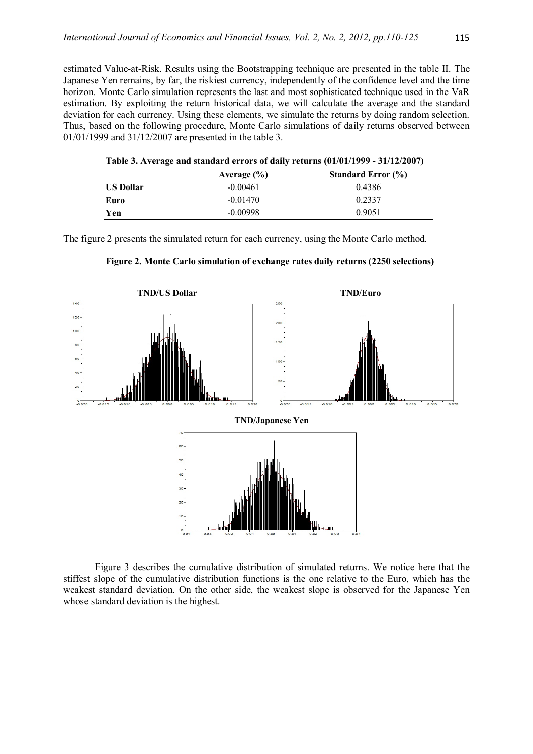estimated Value-at-Risk. Results using the Bootstrapping technique are presented in the table II. The Japanese Yen remains, by far, the riskiest currency, independently of the confidence level and the time horizon. Monte Carlo simulation represents the last and most sophisticated technique used in the VaR estimation. By exploiting the return historical data, we will calculate the average and the standard deviation for each currency. Using these elements, we simulate the returns by doing random selection. Thus, based on the following procedure, Monte Carlo simulations of daily returns observed between 01/01/1999 and 31/12/2007 are presented in the table 3.

| Table 5. Avel age and standard errors of daily returns (01/01/1777 - 31/12/2007) |                 |                           |  |  |  |
|----------------------------------------------------------------------------------|-----------------|---------------------------|--|--|--|
|                                                                                  | Average $(\% )$ | <b>Standard Error</b> (%) |  |  |  |
| <b>US Dollar</b>                                                                 | $-0.00461$      | 0.4386                    |  |  |  |
| Euro                                                                             | $-0.01470$      | 0.2337                    |  |  |  |
| Yen                                                                              | $-0.00998$      | 0.9051                    |  |  |  |

**Table 3. Average and standard errors of daily returns (01/01/1999 - 31/12/2007)**

The figure 2 presents the simulated return for each currency, using the Monte Carlo method.



 **Figure 2. Monte Carlo simulation of exchange rates daily returns (2250 selections)**

Figure 3 describes the cumulative distribution of simulated returns. We notice here that the stiffest slope of the cumulative distribution functions is the one relative to the Euro, which has the weakest standard deviation. On the other side, the weakest slope is observed for the Japanese Yen whose standard deviation is the highest.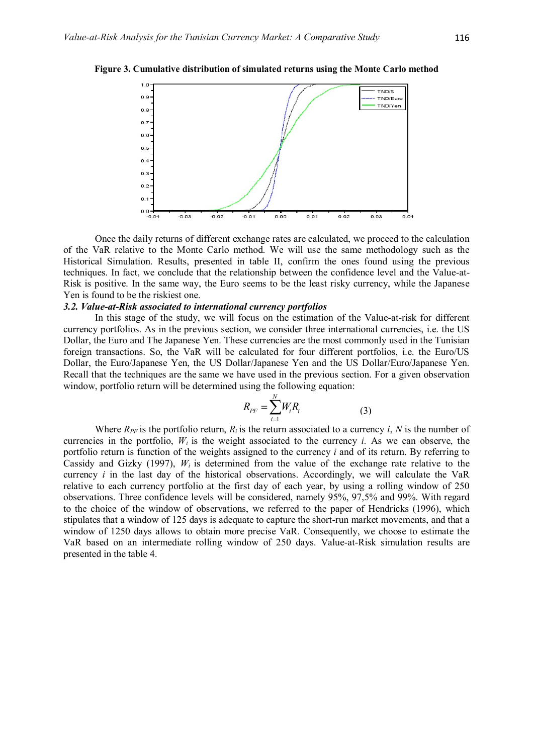

**Figure 3. Cumulative distribution of simulated returns using the Monte Carlo method**

Once the daily returns of different exchange rates are calculated, we proceed to the calculation of the VaR relative to the Monte Carlo method. We will use the same methodology such as the Historical Simulation. Results, presented in table II, confirm the ones found using the previous techniques. In fact, we conclude that the relationship between the confidence level and the Value-at-Risk is positive. In the same way, the Euro seems to be the least risky currency, while the Japanese Yen is found to be the riskiest one.

#### *3.2. Value-at-Risk associated to international currency portfolios*

In this stage of the study, we will focus on the estimation of the Value-at-risk for different currency portfolios. As in the previous section, we consider three international currencies, i.e. the US Dollar, the Euro and The Japanese Yen. These currencies are the most commonly used in the Tunisian foreign transactions. So, the VaR will be calculated for four different portfolios, i.e. the Euro/US Dollar, the Euro/Japanese Yen, the US Dollar/Japanese Yen and the US Dollar/Euro/Japanese Yen. Recall that the techniques are the same we have used in the previous section. For a given observation window, portfolio return will be determined using the following equation:

$$
R_{PF} = \sum_{i=1}^{N} W_i R_i \tag{3}
$$

Where  $R_{PF}$  is the portfolio return,  $R_i$  is the return associated to a currency *i*, *N* is the number of currencies in the portfolio,  $W_i$  is the weight associated to the currency *i*. As we can observe, the portfolio return is function of the weights assigned to the currency *i* and of its return. By referring to Cassidy and Gizky (1997),  $W_i$  is determined from the value of the exchange rate relative to the currency *i* in the last day of the historical observations. Accordingly, we will calculate the VaR relative to each currency portfolio at the first day of each year, by using a rolling window of 250 observations. Three confidence levels will be considered, namely 95%, 97,5% and 99%. With regard to the choice of the window of observations, we referred to the paper of Hendricks (1996), which stipulates that a window of 125 days is adequate to capture the short-run market movements, and that a window of 1250 days allows to obtain more precise VaR. Consequently, we choose to estimate the VaR based on an intermediate rolling window of 250 days. Value-at-Risk simulation results are presented in the table 4.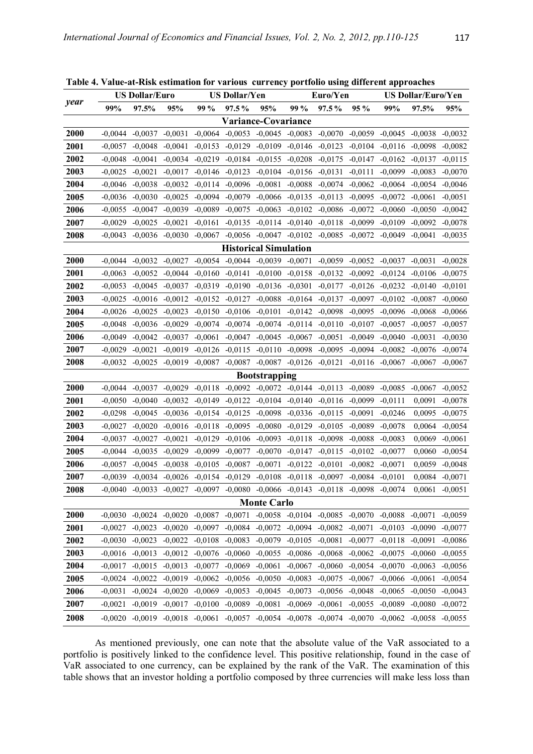|      | <b>US Dollar/Euro</b> |                                                                       | <b>US Dollar/Yen</b> |                     | Euro/Yen                                                                        |                               |           | <b>US Dollar/Euro/Yen</b> |                     |                     |                                                   |           |
|------|-----------------------|-----------------------------------------------------------------------|----------------------|---------------------|---------------------------------------------------------------------------------|-------------------------------|-----------|---------------------------|---------------------|---------------------|---------------------------------------------------|-----------|
| year | 99%                   | 97.5%                                                                 | 95%                  | 99 %                | 97.5%                                                                           | 95%                           | 99 %      | 97.5%                     | 95 %                | 99%                 | 97.5%                                             | 95%       |
|      |                       |                                                                       |                      |                     | <b>Variance-Covariance</b>                                                      |                               |           |                           |                     |                     |                                                   |           |
| 2000 | $-0,0044$             | $-0.0037$                                                             | $-0,0031$            | $-0,0064$           | $-0,0053$                                                                       | $-0,0045$                     | $-0,0083$ |                           | $-0,0070$ $-0,0059$ | $-0.0045$           | $-0.0038$                                         | $-0.0032$ |
| 2001 | $-0,0057$             | $-0,0048$                                                             | $-0,0041$            | $-0.0153$           | $-0,0129$                                                                       | $-0,0109$                     | $-0,0146$ | $-0,0123$                 | $-0,0104$           | $-0,0116$           | $-0.0098$                                         | $-0,0082$ |
| 2002 | $-0.0048$             | $-0.0041$                                                             | $-0,0034$            | $-0,0219$           | $-0,0184$                                                                       | $-0,0155$                     | $-0,0208$ | $-0,0175$                 | $-0,0147$           | $-0,0162$           | $-0,0137$                                         | $-0,0115$ |
| 2003 | $-0.0025$             | $-0.0021$                                                             | $-0,0017$            | $-0,0146$           | $-0,0123$                                                                       | $-0,0104$                     | $-0,0156$ | $-0,0131$                 | $-0,0111$           | $-0,0099$           | $-0.0083$                                         | $-0,0070$ |
| 2004 | $-0,0046$             | $-0,0038$                                                             | $-0.0032$            | $-0,0114$           | $-0,0096$                                                                       | $-0,0081$                     | $-0,0088$ | $-0,0074$                 | $-0,0062$           | $-0,0064$           | $-0,0054$                                         | $-0.0046$ |
| 2005 | $-0,0036$             | $-0,0030$                                                             | $-0,0025$            | $-0,0094$           | $-0,0079$                                                                       | $-0,0066$                     | $-0,0135$ | $-0,0113$                 | $-0,0095$           | $-0,0072$           | $-0,0061$                                         | $-0,0051$ |
| 2006 | $-0.0055$             | $-0,0047$                                                             | $-0,0039$            | $-0,0089$           | $-0,0075$                                                                       | $-0,0063$                     | $-0,0102$ | $-0.0086$                 | $-0,0072$           | $-0,0060$           | $-0,0050$                                         | $-0,0042$ |
| 2007 | $-0.0029$             | $-0.0025$                                                             | $-0,0021$            | $-0,0161$           | $-0.0135$                                                                       | $-0,0114$                     | $-0,0140$ | $-0,0118$                 | $-0,0099$           | $-0,0109$           | $-0.0092$                                         | $-0,0078$ |
| 2008 | $-0.0043$             | $-0.0036$                                                             | $-0,0030$            | $-0,0067$           | $-0,0056$ $-0,0047$                                                             |                               | $-0,0102$ | $-0,0085$                 | $-0,0072$           | $-0,0049$           | $-0.0041$                                         | $-0,0035$ |
|      |                       |                                                                       |                      |                     | <b>Historical Simulation</b>                                                    |                               |           |                           |                     |                     |                                                   |           |
| 2000 | $-0.0044$             | $-0,0032$                                                             | $-0,0027$            | $-0,0054$           | $-0,0044$                                                                       | $-0,0039$                     | $-0,0071$ | $-0,0059$                 | $-0,0052$           | $-0,0037$           | $-0,0031$                                         | $-0,0028$ |
| 2001 | $-0.0063$             | $-0.0052$                                                             | $-0,0044$            | $-0,0160$           | $-0,0141$                                                                       | $-0,0100$                     | $-0,0158$ | $-0,0132$                 | $-0,0092$           | $-0,0124$           | $-0,0106$                                         | $-0.0075$ |
| 2002 | $-0,0053$             | $-0,0045$                                                             | $-0,0037$            | $-0.0319$           | $-0,0190$                                                                       | $-0.0136$                     | $-0,0301$ | $-0,0177$                 | $-0,0126$           | $-0,0232$           | $-0,0140$                                         | $-0,0101$ |
| 2003 | $-0.0025$             | $-0,0016$                                                             | $-0,0012$            | $-0,0152$           | $-0,0127$                                                                       | $-0,0088$                     | $-0,0164$ | $-0,0137$                 | $-0,0097$           | $-0.0102$           | $-0,0087$                                         | $-0,0060$ |
| 2004 | $-0,0026$             | $-0,0025$                                                             | $-0,0023$            | $-0,0150$           | $-0,0106$                                                                       | $-0,0101$                     | $-0,0142$ | $-0,0098$                 | $-0,0095$           | $-0,0096$           | $-0.0068$                                         | $-0,0066$ |
| 2005 | $-0,0048$             | $-0.0036$                                                             | $-0,0029$            | $-0,0074$           | $-0,0074$                                                                       | $-0,0074$                     | $-0,0114$ | $-0,0110$                 | $-0,0107$           | $-0,0057$           | $-0,0057$                                         | $-0,0057$ |
| 2006 | $-0.0049$             | $-0,0042$                                                             | $-0,0037$            | $-0,0061$           | $-0,0047$                                                                       | $-0,0045$                     | $-0,0067$ | $-0,0051$                 | $-0,0049$           | $-0,0040$           | $-0,0031$                                         | $-0,0030$ |
| 2007 | $-0.0029$             | $-0,0021$                                                             | $-0,0019$            | $-0,0126$           | $-0,0115$                                                                       | $-0,0110$                     | $-0,0098$ | $-0,0095$                 | $-0,0094$           | $-0,0082$           | $-0,0076$                                         | $-0,0074$ |
| 2008 | $-0.0032$             | $-0,0025$                                                             | $-0,0019$            | $-0,0087$           | $-0,0087$                                                                       | $-0,0087$                     | $-0,0126$ | $-0,0121$                 | $-0,0116$           | $-0.0067$           | $-0.0067$                                         | $-0,0067$ |
|      |                       |                                                                       |                      |                     |                                                                                 | <b>Bootstrapping</b>          |           |                           |                     |                     |                                                   |           |
| 2000 | $-0,0044$             | $-0.0037$                                                             | $-0,0029$            | $-0,0118$           |                                                                                 | $-0,0092$ $-0,0072$ $-0,0144$ |           | $-0,0113$                 | $-0,0089$           | $-0,0085$           | $-0,0067$                                         | $-0,0052$ |
| 2001 | $-0.0050$             | $-0,0040$                                                             | $-0,0032$            | $-0,0149$           | $-0,0122$                                                                       | $-0,0104$                     | $-0,0140$ | $-0,0116$                 | $-0,0099$           | $-0,0111$           | 0,0091                                            | $-0,0078$ |
| 2002 | $-0,0298$             | $-0,0045$                                                             | $-0,0036$            | $-0,0154$           | $-0,0125$                                                                       | $-0,0098$                     | $-0,0336$ | $-0,0115$                 | $-0,0091$           | $-0,0246$           | 0,0095                                            | $-0,0075$ |
| 2003 | $-0,0027$             | $-0,0020$                                                             | $-0,0016$            | $-0,0118$           | $-0,0095$                                                                       | $-0,0080$                     | $-0,0129$ | $-0,0105$                 | $-0,0089$           | $-0,0078$           | 0,0064                                            | $-0,0054$ |
| 2004 | $-0.0037$             | $-0.0027$                                                             | $-0,0021$            | $-0,0129$           | $-0,0106$                                                                       | $-0,0093$                     | $-0,0118$ | $-0,0098$                 | $-0,0088$           | $-0,0083$           | 0,0069                                            | $-0,0061$ |
| 2005 | $-0,0044$             | $-0,0035$                                                             | $-0,0029$            | $-0,0099$           | $-0,0077$                                                                       | $-0,0070$                     | $-0,0147$ | $-0,0115$                 | $-0,0102$           | $-0,0077$           | 0,0060                                            | $-0,0054$ |
| 2006 | $-0,0057$             | $-0.0045$                                                             | $-0,0038$            | $-0,0105$           | $-0,0087$                                                                       | $-0,0071$                     | $-0,0122$ | $-0,0101$                 | $-0,0082$           | $-0,0071$           | 0,0059                                            | $-0,0048$ |
| 2007 | $-0,0039$             | $-0,0034$                                                             |                      | $-0,0026$ $-0,0154$ | $-0,0129$                                                                       | $-0,0108$                     | $-0,0118$ | $-0,0097$                 | $-0,0084$           | $-0.0101$           | 0,0084                                            | $-0.0071$ |
| 2008 | $-0,0040$             |                                                                       |                      |                     | $-0.0033$ $-0.0027$ $-0.0097$ $-0.0080$ $-0.0066$ $-0.0143$ $-0.0118$ $-0.0098$ |                               |           |                           |                     | $-0,0074$           | 0,0061                                            | $-0,0051$ |
|      |                       |                                                                       |                      |                     |                                                                                 | <b>Monte Carlo</b>            |           |                           |                     |                     |                                                   |           |
| 2000 | -0,0030               | $-0.0024$                                                             | $-0.0020$            | $-0,0087$           | $-0,0071$                                                                       | $-0,0058$                     | $-0,0104$ | $-0.0085$                 |                     | $-0.0070$ $-0.0088$ | $-0.0071$                                         | $-0.0059$ |
| 2001 | $-0,0027$             | $-0,0023$                                                             | $-0,0020$            | $-0,0097$           | $-0,0084$                                                                       | $-0,0072$                     | $-0,0094$ | $-0,0082$                 | $-0,0071$           | $-0,0103$           | $-0,0090$                                         | $-0,0077$ |
| 2002 | $-0.0030$             | $-0,0023$                                                             | $-0,0022$            | $-0,0108$           | $-0,0083$                                                                       | $-0,0079$                     | $-0,0105$ | $-0,0081$                 | $-0,0077$           | $-0,0118$           | $-0,0091$                                         | $-0,0086$ |
| 2003 | $-0.0016$             | $-0,0013$                                                             | $-0,0012$            | $-0,0076$           | $-0,0060$                                                                       | $-0,0055$                     | $-0,0086$ | $-0,0068$                 | $-0,0062$           | $-0,0075$           | $-0,0060$                                         | $-0,0055$ |
| 2004 | $-0,0017$             | $-0,0015$                                                             | $-0,0013$            | $-0,0077$           | $-0,0069$                                                                       | $-0,0061$                     | $-0,0067$ | $-0,0060$                 | $-0,0054$           | $-0,0070$           | $-0,0063$                                         | $-0,0056$ |
| 2005 | $-0,0024$             | $-0,0022$                                                             | $-0,0019$            | $-0,0062$           | $-0,0056$ $-0,0050$                                                             |                               | $-0,0083$ | $-0,0075$                 | $-0,0067$           | $-0,0066$           | $-0,0061$                                         | $-0,0054$ |
| 2006 | $-0,0031$             | $-0,0024$                                                             | $-0,0020$            | $-0,0069$           | $-0,0053$                                                                       | $-0,0045$                     | $-0,0073$ | $-0,0056$                 | $-0,0048$           | $-0,0065$           | $-0,0050$                                         | $-0,0043$ |
| 2007 | $-0,0021$             | $-0,0019$                                                             | $-0,0017$            | $-0,0100$           | $-0.0089$                                                                       | $-0,0081$                     | $-0,0069$ | $-0,0061$                 | $-0.0055$           | $-0,0089$           | $-0,0080$                                         | $-0,0072$ |
| 2008 |                       | $-0,0020$ $-0,0019$ $-0,0018$ $-0,0061$ $-0,0057$ $-0,0054$ $-0,0078$ |                      |                     |                                                                                 |                               |           |                           |                     |                     | $-0,0074$ $-0,0070$ $-0,0062$ $-0,0058$ $-0,0055$ |           |

**Table 4. Value-at-Risk estimation for various currency portfolio using different approaches**

As mentioned previously, one can note that the absolute value of the VaR associated to a portfolio is positively linked to the confidence level. This positive relationship, found in the case of VaR associated to one currency, can be explained by the rank of the VaR. The examination of this table shows that an investor holding a portfolio composed by three currencies will make less loss than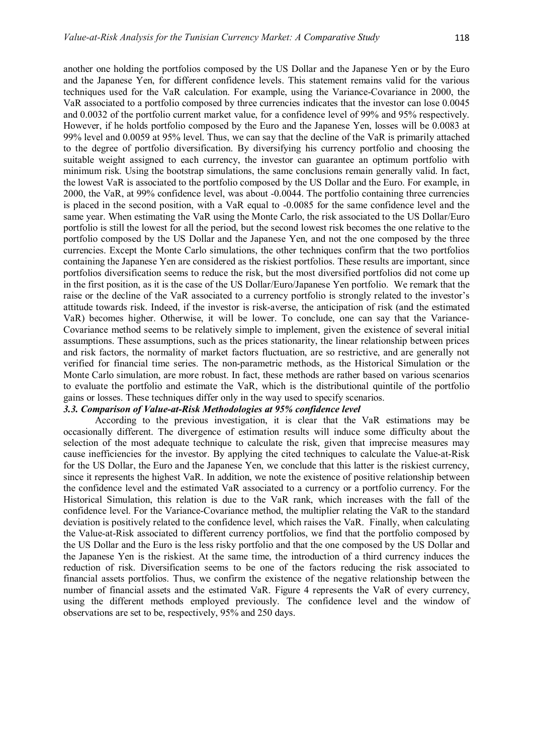another one holding the portfolios composed by the US Dollar and the Japanese Yen or by the Euro and the Japanese Yen, for different confidence levels. This statement remains valid for the various techniques used for the VaR calculation. For example, using the Variance-Covariance in 2000, the VaR associated to a portfolio composed by three currencies indicates that the investor can lose 0.0045 and 0.0032 of the portfolio current market value, for a confidence level of 99% and 95% respectively. However, if he holds portfolio composed by the Euro and the Japanese Yen, losses will be 0.0083 at 99% level and 0.0059 at 95% level. Thus, we can say that the decline of the VaR is primarily attached to the degree of portfolio diversification. By diversifying his currency portfolio and choosing the suitable weight assigned to each currency, the investor can guarantee an optimum portfolio with minimum risk. Using the bootstrap simulations, the same conclusions remain generally valid. In fact, the lowest VaR is associated to the portfolio composed by the US Dollar and the Euro. For example, in 2000, the VaR, at 99% confidence level, was about -0.0044. The portfolio containing three currencies is placed in the second position, with a VaR equal to -0.0085 for the same confidence level and the same year. When estimating the VaR using the Monte Carlo, the risk associated to the US Dollar/Euro portfolio is still the lowest for all the period, but the second lowest risk becomes the one relative to the portfolio composed by the US Dollar and the Japanese Yen, and not the one composed by the three currencies. Except the Monte Carlo simulations, the other techniques confirm that the two portfolios containing the Japanese Yen are considered as the riskiest portfolios. These results are important, since portfolios diversification seems to reduce the risk, but the most diversified portfolios did not come up in the first position, as it is the case of the US Dollar/Euro/Japanese Yen portfolio. We remark that the raise or the decline of the VaR associated to a currency portfolio is strongly related to the investor's attitude towards risk. Indeed, if the investor is risk-averse, the anticipation of risk (and the estimated VaR) becomes higher. Otherwise, it will be lower. To conclude, one can say that the Variance-Covariance method seems to be relatively simple to implement, given the existence of several initial assumptions. These assumptions, such as the prices stationarity, the linear relationship between prices and risk factors, the normality of market factors fluctuation, are so restrictive, and are generally not verified for financial time series. The non-parametric methods, as the Historical Simulation or the Monte Carlo simulation, are more robust. In fact, these methods are rather based on various scenarios to evaluate the portfolio and estimate the VaR, which is the distributional quintile of the portfolio gains or losses. These techniques differ only in the way used to specify scenarios.

# *3.3. Comparison of Value-at-Risk Methodologies at 95% confidence level*

According to the previous investigation, it is clear that the VaR estimations may be occasionally different. The divergence of estimation results will induce some difficulty about the selection of the most adequate technique to calculate the risk, given that imprecise measures may cause inefficiencies for the investor. By applying the cited techniques to calculate the Value-at-Risk for the US Dollar, the Euro and the Japanese Yen, we conclude that this latter is the riskiest currency, since it represents the highest VaR. In addition, we note the existence of positive relationship between the confidence level and the estimated VaR associated to a currency or a portfolio currency. For the Historical Simulation, this relation is due to the VaR rank, which increases with the fall of the confidence level. For the Variance-Covariance method, the multiplier relating the VaR to the standard deviation is positively related to the confidence level, which raises the VaR. Finally, when calculating the Value-at-Risk associated to different currency portfolios, we find that the portfolio composed by the US Dollar and the Euro is the less risky portfolio and that the one composed by the US Dollar and the Japanese Yen is the riskiest. At the same time, the introduction of a third currency induces the reduction of risk. Diversification seems to be one of the factors reducing the risk associated to financial assets portfolios. Thus, we confirm the existence of the negative relationship between the number of financial assets and the estimated VaR. Figure 4 represents the VaR of every currency, using the different methods employed previously. The confidence level and the window of observations are set to be, respectively, 95% and 250 days.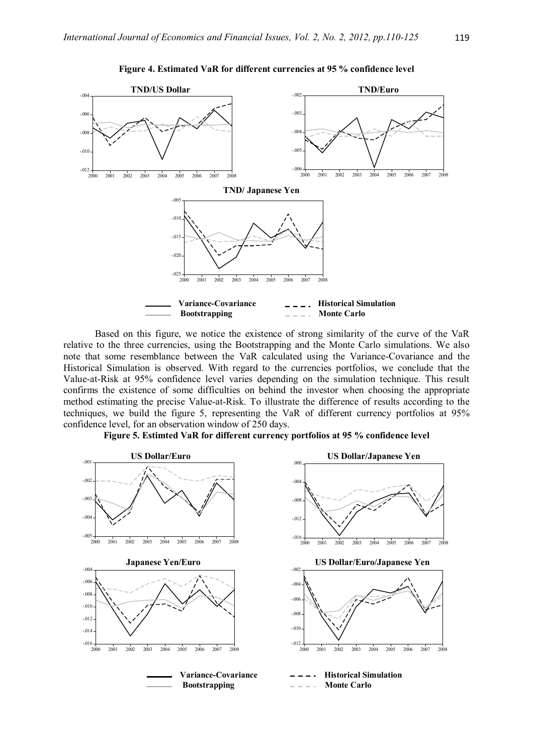

**Figure 4. Estimated VaR for different currencies at 95 % confidence level**

Based on this figure, we notice the existence of strong similarity of the curve of the VaR relative to the three currencies, using the Bootstrapping and the Monte Carlo simulations. We also note that some resemblance between the VaR calculated using the Variance-Covariance and the Historical Simulation is observed. With regard to the currencies portfolios, we conclude that the Value-at-Risk at 95% confidence level varies depending on the simulation technique. This result confirms the existence of some difficulties on behind the investor when choosing the appropriate method estimating the precise Value-at-Risk. To illustrate the difference of results according to the techniques, we build the figure 5, representing the VaR of different currency portfolios at 95% confidence level, for an observation window of 250 days.

**Figure 5. Estimted VaR for different currency portfolios at 95 % confidence level**

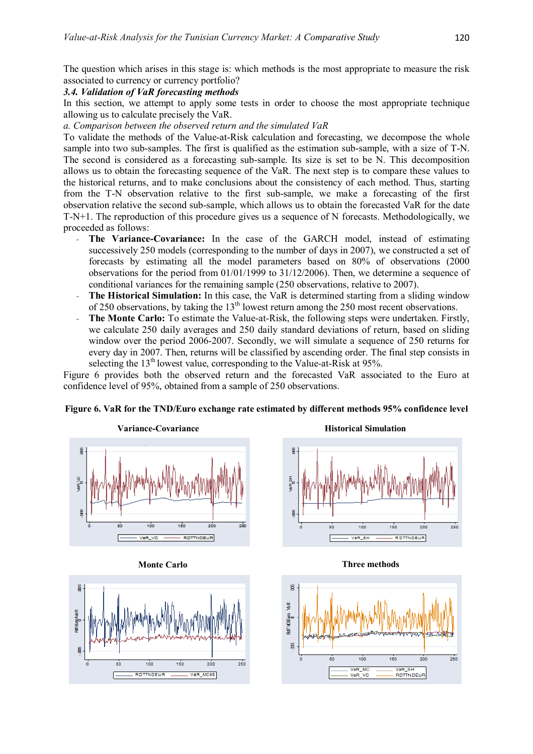The question which arises in this stage is: which methods is the most appropriate to measure the risk associated to currency or currency portfolio?

# *3.4. Validation of VaR forecasting methods*

In this section, we attempt to apply some tests in order to choose the most appropriate technique allowing us to calculate precisely the VaR.

*a. Comparison between the observed return and the simulated VaR*

To validate the methods of the Value-at-Risk calculation and forecasting, we decompose the whole sample into two sub-samples. The first is qualified as the estimation sub-sample, with a size of T-N. The second is considered as a forecasting sub-sample. Its size is set to be N. This decomposition allows us to obtain the forecasting sequence of the VaR. The next step is to compare these values to the historical returns, and to make conclusions about the consistency of each method. Thus, starting from the T-N observation relative to the first sub-sample, we make a forecasting of the first observation relative the second sub-sample, which allows us to obtain the forecasted VaR for the date T-N+1. The reproduction of this procedure gives us a sequence of N forecasts. Methodologically, we proceeded as follows:

- **The Variance-Covariance:** In the case of the GARCH model, instead of estimating successively 250 models (corresponding to the number of days in 2007), we constructed a set of forecasts by estimating all the model parameters based on 80% of observations (2000 observations for the period from 01/01/1999 to 31/12/2006). Then, we determine a sequence of conditional variances for the remaining sample (250 observations, relative to 2007).
- **The Historical Simulation:** In this case, the VaR is determined starting from a sliding window of 250 observations, by taking the 13<sup>th</sup> lowest return among the 250 most recent observations.
- **The Monte Carlo:** To estimate the Value-at-Risk, the following steps were undertaken. Firstly, we calculate 250 daily averages and 250 daily standard deviations of return, based on sliding window over the period 2006-2007. Secondly, we will simulate a sequence of 250 returns for every day in 2007. Then, returns will be classified by ascending order. The final step consists in selecting the  $13<sup>th</sup>$  lowest value, corresponding to the Value-at-Risk at 95%.

Figure 6 provides both the observed return and the forecasted VaR associated to the Euro at confidence level of 95%, obtained from a sample of 250 observations.

# **Figure 6. VaR for the TND/Euro exchange rate estimated by different methods 95% confidence level**











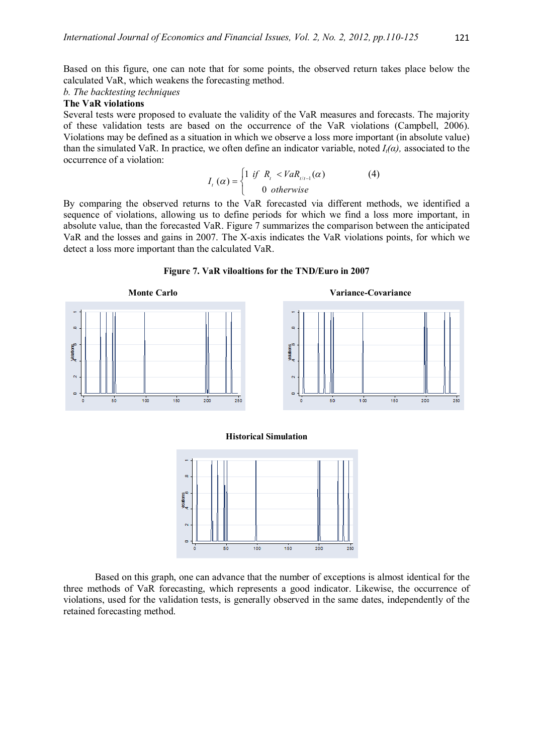Based on this figure, one can note that for some points, the observed return takes place below the calculated VaR, which weakens the forecasting method.

*b. The backtesting techniques*

# **The VaR violations**

Several tests were proposed to evaluate the validity of the VaR measures and forecasts. The majority of these validation tests are based on the occurrence of the VaR violations (Campbell, 2006). Violations may be defined as a situation in which we observe a loss more important (in absolute value) than the simulated VaR. In practice, we often define an indicator variable, noted  $I_t(\alpha)$ , associated to the occurrence of a violation:

$$
I_{t}(\alpha) = \begin{cases} 1 & \text{if } R_{t} < VaR_{t/t-1}(\alpha) \\ 0 & \text{otherwise} \end{cases} \tag{4}
$$

By comparing the observed returns to the VaR forecasted via different methods, we identified a sequence of violations, allowing us to define periods for which we find a loss more important, in absolute value, than the forecasted VaR. Figure 7 summarizes the comparison between the anticipated VaR and the losses and gains in 2007. The X-axis indicates the VaR violations points, for which we detect a loss more important than the calculated VaR.

#### **Figure 7. VaR viloaltions for the TND/Euro in 2007**



#### **Historical Simulation**



Based on this graph, one can advance that the number of exceptions is almost identical for the three methods of VaR forecasting, which represents a good indicator. Likewise, the occurrence of violations, used for the validation tests, is generally observed in the same dates, independently of the retained forecasting method.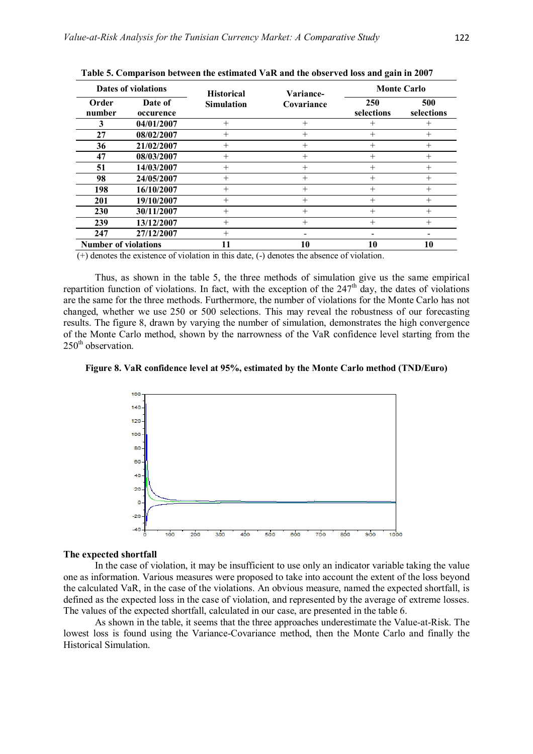| Dates of violations         |                      | <b>Historical</b> | Variance-  | <b>Monte Carlo</b> |                   |  |
|-----------------------------|----------------------|-------------------|------------|--------------------|-------------------|--|
| Order<br>number             | Date of<br>occurence | <b>Simulation</b> | Covariance | 250<br>selections  | 500<br>selections |  |
| 3                           | 04/01/2007           | $^{+}$            | $^{+}$     | $^{+}$             | $^{+}$            |  |
| 27                          | 08/02/2007           | $^{+}$            | $^{+}$     | $^{+}$             | $^{+}$            |  |
| 36                          | 21/02/2007           | $^{+}$            | $^{+}$     | $^{+}$             | $^{+}$            |  |
| 47                          | 08/03/2007           | $^{+}$            | $^{+}$     | $^{+}$             | $^{+}$            |  |
| 51                          | 14/03/2007           | $^{+}$            | $^{+}$     | $^{+}$             | $^{+}$            |  |
| 98                          | 24/05/2007           | $^{+}$            | $^{+}$     | $^{+}$             | $^{+}$            |  |
| 198                         | 16/10/2007           | $^{+}$            | $^{+}$     | $\hspace{0.1mm} +$ | $^+$              |  |
| 201                         | 19/10/2007           | $^{+}$            | $^{+}$     | $^{+}$             | $^{+}$            |  |
| 230                         | 30/11/2007           | $^{+}$            | $^{+}$     | $^{+}$             | $^{+}$            |  |
| 239                         | 13/12/2007           | $^{+}$            | $^{+}$     | $^{+}$             | $^{+}$            |  |
| 247                         | 27/12/2007           | $^{+}$            |            |                    |                   |  |
| <b>Number of violations</b> |                      | 11                | 10         | 10                 | 10                |  |

**Table 5. Comparison between the estimated VaR and the observed loss and gain in 2007**

(+) denotes the existence of violation in this date, (-) denotes the absence of violation.

Thus, as shown in the table 5, the three methods of simulation give us the same empirical repartition function of violations. In fact, with the exception of the  $247<sup>th</sup>$  day, the dates of violations are the same for the three methods. Furthermore, the number of violations for the Monte Carlo has not changed, whether we use 250 or 500 selections. This may reveal the robustness of our forecasting results. The figure 8, drawn by varying the number of simulation, demonstrates the high convergence of the Monte Carlo method, shown by the narrowness of the VaR confidence level starting from the  $250<sup>th</sup>$  observation.





#### **The expected shortfall**

In the case of violation, it may be insufficient to use only an indicator variable taking the value one as information. Various measures were proposed to take into account the extent of the loss beyond the calculated VaR, in the case of the violations. An obvious measure, named the expected shortfall, is defined as the expected loss in the case of violation, and represented by the average of extreme losses. The values of the expected shortfall, calculated in our case, are presented in the table 6.

As shown in the table, it seems that the three approaches underestimate the Value-at-Risk. The lowest loss is found using the Variance-Covariance method, then the Monte Carlo and finally the Historical Simulation.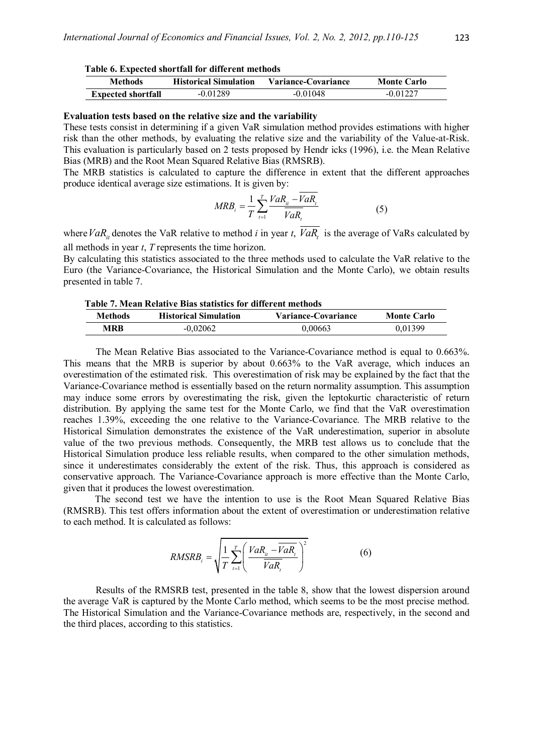**Table 6. Expected shortfall for different methods**

| <b>Methods</b>            | <b>Historical Simulation</b> | Variance-Covariance | <b>Monte Carlo</b> |
|---------------------------|------------------------------|---------------------|--------------------|
| <b>Expected shortfall</b> | $-0.01289$                   | $-0.01048$          | $-0.01227$         |

#### **Evaluation tests based on the relative size and the variability**

These tests consist in determining if a given VaR simulation method provides estimations with higher risk than the other methods, by evaluating the relative size and the variability of the Value-at-Risk. This evaluation is particularly based on 2 tests proposed by Hendr icks (1996), i.e. the Mean Relative Bias (MRB) and the Root Mean Squared Relative Bias (RMSRB).

The MRB statistics is calculated to capture the difference in extent that the different approaches produce identical average size estimations. It is given by:

$$
MRB_{i} = \frac{1}{T} \sum_{t=1}^{T} \frac{VaR_{i} - VaR_{t}}{VaR_{t}}
$$
 (5)

where  $VaR<sub>i</sub>$  denotes the VaR relative to method *i* in year *t*,  $VaR<sub>i</sub>$  is the average of VaRs calculated by all methods in year *t*, *T* represents the time horizon.

By calculating this statistics associated to the three methods used to calculate the VaR relative to the Euro (the Variance-Covariance, the Historical Simulation and the Monte Carlo), we obtain results presented in table 7.

 **Table 7. Mean Relative Bias statistics for different methods**

| Methods    | <b>Historical Simulation</b> | Variance-Covariance | <b>Monte Carlo</b> |
|------------|------------------------------|---------------------|--------------------|
| <b>MRB</b> | $-0.02062$                   | 0.00663             | 0.01399            |

The Mean Relative Bias associated to the Variance-Covariance method is equal to 0.663%. This means that the MRB is superior by about 0.663% to the VaR average, which induces an overestimation of the estimated risk. This overestimation of risk may be explained by the fact that the Variance-Covariance method is essentially based on the return normality assumption. This assumption may induce some errors by overestimating the risk, given the leptokurtic characteristic of return distribution. By applying the same test for the Monte Carlo, we find that the VaR overestimation reaches 1.39%, exceeding the one relative to the Variance-Covariance. The MRB relative to the Historical Simulation demonstrates the existence of the VaR underestimation, superior in absolute value of the two previous methods. Consequently, the MRB test allows us to conclude that the Historical Simulation produce less reliable results, when compared to the other simulation methods, since it underestimates considerably the extent of the risk. Thus, this approach is considered as conservative approach. The Variance-Covariance approach is more effective than the Monte Carlo, given that it produces the lowest overestimation.

The second test we have the intention to use is the Root Mean Squared Relative Bias (RMSRB). This test offers information about the extent of overestimation or underestimation relative to each method. It is calculated as follows:

$$
RMSRB_i = \sqrt{\frac{1}{T} \sum_{t=1}^{T} \left( \frac{VaR_i - \overline{VaR_i}}{\overline{VaR_i}} \right)^2}
$$
(6)

Results of the RMSRB test, presented in the table 8, show that the lowest dispersion around the average VaR is captured by the Monte Carlo method, which seems to be the most precise method. The Historical Simulation and the Variance-Covariance methods are, respectively, in the second and the third places, according to this statistics.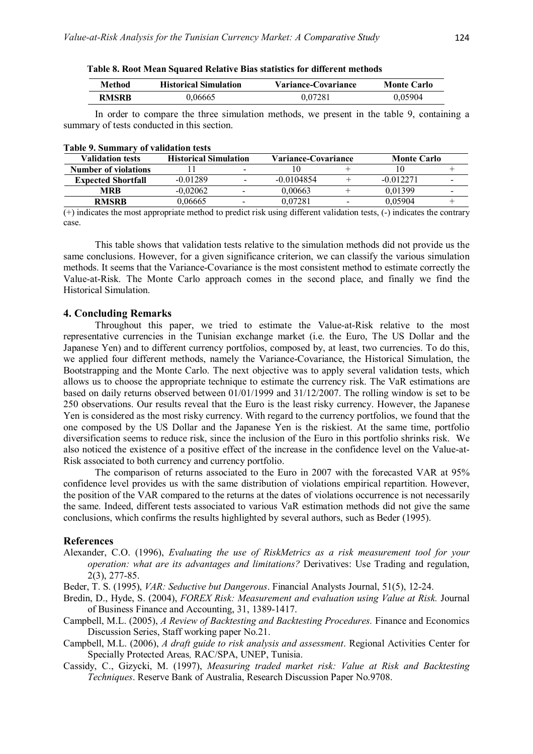| <b>Table 8. Root Mean Squared Relative Bias statistics for different methods</b> |
|----------------------------------------------------------------------------------|
|----------------------------------------------------------------------------------|

| Method       | <b>Historical Simulation</b> | Variance-Covariance | <b>Monte Carlo</b> |  |  |
|--------------|------------------------------|---------------------|--------------------|--|--|
| <b>RMSRB</b> | 0.06665                      | 0.07281             | 0.05904            |  |  |

In order to compare the three simulation methods, we present in the table 9, containing a summary of tests conducted in this section.

| <u>VI IMINUMUZU UVUVU</u> |                |                              |      |                            |                    |  |  |  |  |
|---------------------------|----------------|------------------------------|------|----------------------------|--------------------|--|--|--|--|
|                           |                |                              |      |                            |                    |  |  |  |  |
|                           | -              |                              |      |                            |                    |  |  |  |  |
| $-0.01289$                | -              | $-0.0104854$                 |      | $-0.012271$                | -                  |  |  |  |  |
| $-0,02062$                | $\blacksquare$ | 0.00663                      |      | 0.01399                    | $\qquad \qquad$    |  |  |  |  |
| 0.06665                   | -              | 0.07281                      | $\,$ | 0.05904                    |                    |  |  |  |  |
|                           |                | <b>Historical Simulation</b> |      | <b>Variance-Covariance</b> | <b>Monte Carlo</b> |  |  |  |  |

#### **Table 9. Summary of validation tests**

(+) indicates the most appropriate method to predict risk using different validation tests, (-) indicates the contrary case.

This table shows that validation tests relative to the simulation methods did not provide us the same conclusions. However, for a given significance criterion, we can classify the various simulation methods. It seems that the Variance-Covariance is the most consistent method to estimate correctly the Value-at-Risk. The Monte Carlo approach comes in the second place, and finally we find the Historical Simulation.

# **4. Concluding Remarks**

Throughout this paper, we tried to estimate the Value-at-Risk relative to the most representative currencies in the Tunisian exchange market (i.e. the Euro, The US Dollar and the Japanese Yen) and to different currency portfolios, composed by, at least, two currencies. To do this, we applied four different methods, namely the Variance-Covariance, the Historical Simulation, the Bootstrapping and the Monte Carlo. The next objective was to apply several validation tests, which allows us to choose the appropriate technique to estimate the currency risk. The VaR estimations are based on daily returns observed between 01/01/1999 and 31/12/2007. The rolling window is set to be 250 observations. Our results reveal that the Euro is the least risky currency. However, the Japanese Yen is considered as the most risky currency. With regard to the currency portfolios, we found that the one composed by the US Dollar and the Japanese Yen is the riskiest. At the same time, portfolio diversification seems to reduce risk, since the inclusion of the Euro in this portfolio shrinks risk. We also noticed the existence of a positive effect of the increase in the confidence level on the Value-at-Risk associated to both currency and currency portfolio.

The comparison of returns associated to the Euro in 2007 with the forecasted VAR at 95% confidence level provides us with the same distribution of violations empirical repartition. However, the position of the VAR compared to the returns at the dates of violations occurrence is not necessarily the same. Indeed, different tests associated to various VaR estimation methods did not give the same conclusions, which confirms the results highlighted by several authors, such as Beder (1995).

# **References**

- Alexander, C.O. (1996), *Evaluating the use of RiskMetrics as a risk measurement tool for your operation: what are its advantages and limitations?* Derivatives: Use Trading and regulation, 2(3), 277-85.
- Beder, T. S. (1995), *VAR: Seductive but Dangerous*. Financial Analysts Journal, 51(5), 12-24.
- Bredin, D., Hyde, S. (2004), *FOREX Risk: Measurement and evaluation using Value at Risk.* Journal of Business Finance and Accounting, 31, 1389-1417.
- Campbell, M.L. (2005), *A Review of Backtesting and Backtesting Procedures.* Finance and Economics Discussion Series, Staff working paper No.21.
- Campbell, M.L. (2006), *A draft guide to risk analysis and assessment*. Regional Activities Center for Specially Protected Areas*,* RAC/SPA, UNEP, Tunisia.
- Cassidy, C., Gizycki, M. (1997), *Measuring traded market risk: Value at Risk and Backtesting Techniques*. Reserve Bank of Australia, Research Discussion Paper No.9708.